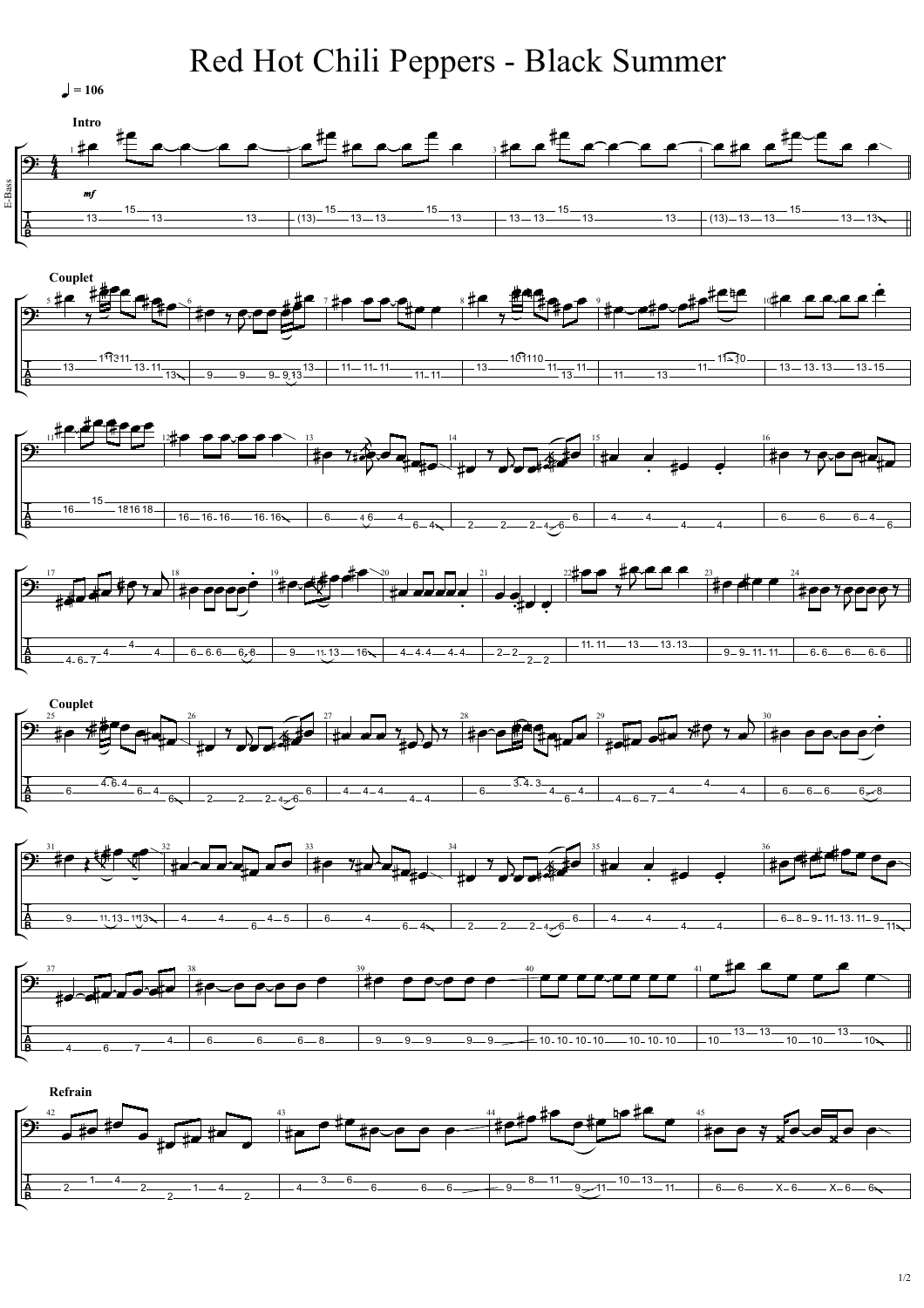## Red Hot Chili Peppers - Black Summer